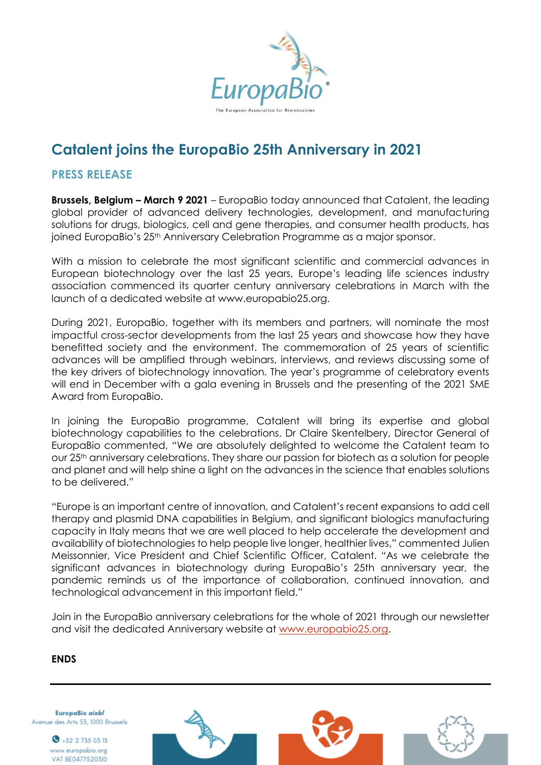

# **Catalent joins the EuropaBio 25th Anniversary in 2021**

## **PRESS RELEASE**

**Brussels, Belgium – March 9 2021** – EuropaBio today announced that Catalent, the leading global provider of advanced delivery technologies, development, and manufacturing solutions for drugs, biologics, cell and gene therapies, and consumer health products, has joined EuropaBio's 25th Anniversary Celebration Programme as a major sponsor.

With a mission to celebrate the most significant scientific and commercial advances in European biotechnology over the last 25 years, Europe's leading life sciences industry association commenced its quarter century anniversary celebrations in March with the launch of a dedicated website at www.europabio25.org.

During 2021, EuropaBio, together with its members and partners, will nominate the most impactful cross-sector developments from the last 25 years and showcase how they have benefitted society and the environment. The commemoration of 25 years of scientific advances will be amplified through webinars, interviews, and reviews discussing some of the key drivers of biotechnology innovation. The year's programme of celebratory events will end in December with a gala evening in Brussels and the presenting of the 2021 SME Award from EuropaBio.

In joining the EuropaBio programme, Catalent will bring its expertise and global biotechnology capabilities to the celebrations. Dr Claire Skentelbery, Director General of EuropaBio commented, "We are absolutely delighted to welcome the Catalent team to our 25th anniversary celebrations. They share our passion for biotech as a solution for people and planet and will help shine a light on the advances in the science that enables solutions to be delivered."

"Europe is an important centre of innovation, and Catalent's recent expansions to add cell therapy and plasmid DNA capabilities in Belgium, and significant biologics manufacturing capacity in Italy means that we are well placed to help accelerate the development and availability of biotechnologies to help people live longer, healthier lives," commented Julien Meissonnier, Vice President and Chief Scientific Officer, Catalent. "As we celebrate the significant advances in biotechnology during EuropaBio's 25th anniversary year, the pandemic reminds us of the importance of collaboration, continued innovation, and technological advancement in this important field."

Join in the EuropaBio anniversary celebrations for the whole of 2021 through our newsletter and visit the dedicated Anniversary website at [www.europabio25.org.](http://www.europabio25.org/)

## **ENDS**

EuropaBio aisbl Avenue des Arts 53, 1000 Brussels

> $\bullet$  +32 2 735 03 13 www.europabio.org VAT BE0477520310